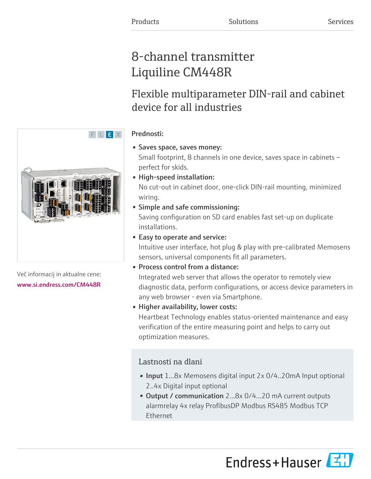# 8-channel transmitter Liquiline CM448R

# Flexible multiparameter DIN-rail and cabinet device for all industries

# Prednosti:

- Saves space, saves money: Small footprint, 8 channels in one device, saves space in cabinets – perfect for skids.
- High-speed installation: No cut-out in cabinet door, one-click DIN-rail mounting, minimized wiring.
- Simple and safe commissioning:

Saving configuration on SD card enables fast set-up on duplicate installations.

• Easy to operate and service:

Intuitive user interface, hot plug & play with pre-calibrated Memosens sensors, universal components fit all parameters.

• Process control from a distance:

Integrated web server that allows the operator to remotely view diagnostic data, perform configurations, or access device parameters in any web browser - even via Smartphone.

• Higher availability, lower costs:

Heartbeat Technology enables status-oriented maintenance and easy verification of the entire measuring point and helps to carry out optimization measures.

# Lastnosti na dlani

- Input 1...8x Memosens digital input 2x 0/4..20mA Input optional 2..4x Digital input optional
- Output / communication 2...8x 0/4...20 mA current outputs alarmrelay 4x relay ProfibusDP Modbus RS485 Modbus TCP Ethernet

Endress+Hauser



Več informacij in aktualne cene: [www.si.endress.com/CM448R](https://www.si.endress.com/CM448R)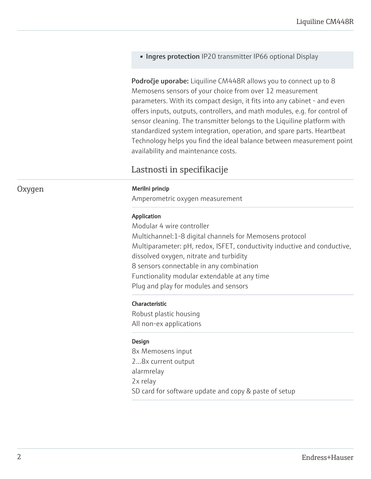• Ingres protection IP20 transmitter IP66 optional Display

Področje uporabe: Liquiline CM448R allows you to connect up to 8 Memosens sensors of your choice from over 12 measurement parameters. With its compact design, it fits into any cabinet - and even offers inputs, outputs, controllers, and math modules, e.g. for control of sensor cleaning. The transmitter belongs to the Liquiline platform with standardized system integration, operation, and spare parts. Heartbeat Technology helps you find the ideal balance between measurement point availability and maintenance costs.

# Lastnosti in specifikacije

#### Oxygen Merilni princip

Amperometric oxygen measurement

## Application

Modular 4 wire controller Multichannel:1-8 digital channels for Memosens protocol Multiparameter: pH, redox, ISFET, conductivity inductive and conductive, dissolved oxygen, nitrate and turbidity 8 sensors connectable in any combination Functionality modular extendable at any time Plug and play for modules and sensors

# Characteristic

Robust plastic housing All non-ex applications

# Design

8x Memosens input 2...8x current output alarmrelay 2x relay SD card for software update and copy & paste of setup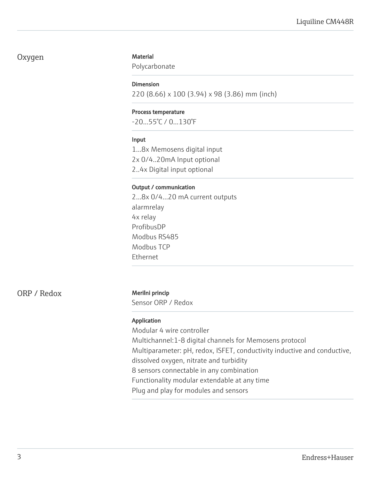# Oxygen

# **Material**

Polycarbonate

# Dimension

220 (8.66) x 100 (3.94) x 98 (3.86) mm (inch)

### Process temperature

-20...55°C / 0...130°F

## Input

1...8x Memosens digital input 2x 0/4..20mA Input optional

2..4x Digital input optional

## Output / communication

2...8x 0/4...20 mA current outputs alarmrelay 4x relay ProfibusDP Modbus RS485 Modbus TCP Ethernet

ORP / Redox Merilni princip

Sensor ORP / Redox

# Application

Modular 4 wire controller Multichannel:1-8 digital channels for Memosens protocol Multiparameter: pH, redox, ISFET, conductivity inductive and conductive, dissolved oxygen, nitrate and turbidity 8 sensors connectable in any combination Functionality modular extendable at any time Plug and play for modules and sensors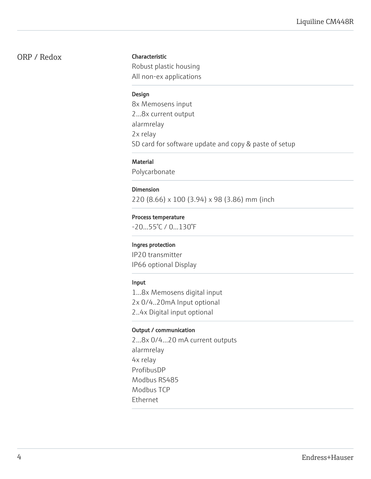# ORP / Redox

# Characteristic

Robust plastic housing All non-ex applications

# Design

8x Memosens input 2...8x current output alarmrelay 2x relay SD card for software update and copy & paste of setup

# **Material**

Polycarbonate

# Dimension

220 (8.66) x 100 (3.94) x 98 (3.86) mm (inch

### Process temperature

-20...55°C / 0...130°F

#### Ingres protection

IP20 transmitter IP66 optional Display

# Input

1...8x Memosens digital input 2x 0/4..20mA Input optional 2..4x Digital input optional

#### Output / communication

2...8x 0/4...20 mA current outputs alarmrelay 4x relay ProfibusDP Modbus RS485 Modbus TCP Ethernet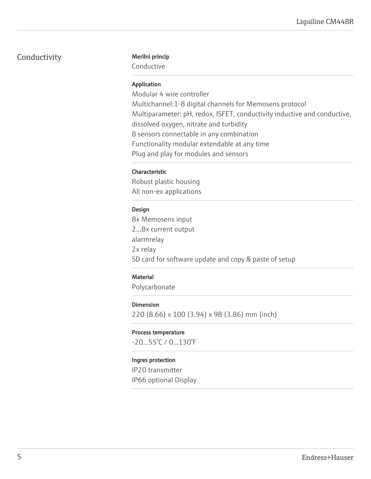# Conductivity Merilni princip

Conductive

# Application

Modular 4 wire controller Multichannel:1-8 digital channels for Memosens protocol Multiparameter: pH, redox, ISFET, conductivity inductive and conductive, dissolved oxygen, nitrate and turbidity 8 sensors connectable in any combination Functionality modular extendable at any time Plug and play for modules and sensors

# Characteristic

Robust plastic housing All non-ex applications

# Design

8x Memosens input 2...8x current output alarmrelay 2x relay SD card for software update and copy & paste of setup

# **Material**

Polycarbonate

# Dimension

220 (8.66) x 100 (3.94) x 98 (3.86) mm (inch)

#### Process temperature

-20...55°C / 0...130°F

### Ingres protection

IP20 transmitter IP66 optional Display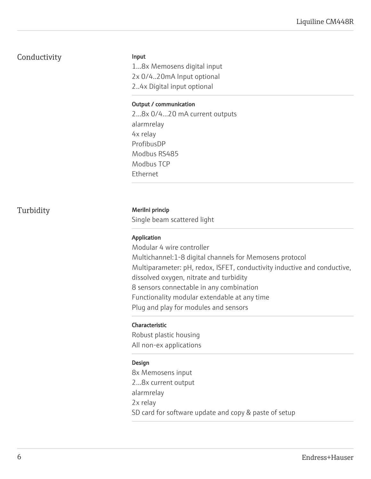# Conductivity

Input

1...8x Memosens digital input 2x 0/4..20mA Input optional 2..4x Digital input optional

# Output / communication

2...8x 0/4...20 mA current outputs alarmrelay 4x relay ProfibusDP Modbus RS485 Modbus TCP Ethernet

# Turbidity Merilni princip

Single beam scattered light

# Application

Modular 4 wire controller Multichannel:1-8 digital channels for Memosens protocol Multiparameter: pH, redox, ISFET, conductivity inductive and conductive, dissolved oxygen, nitrate and turbidity 8 sensors connectable in any combination Functionality modular extendable at any time Plug and play for modules and sensors

# Characteristic

Robust plastic housing All non-ex applications

# Design

8x Memosens input 2...8x current output alarmrelay 2x relay SD card for software update and copy & paste of setup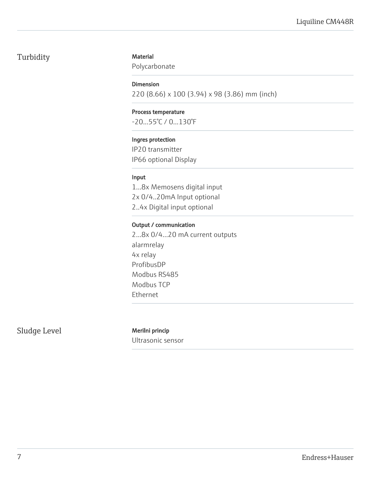# Turbidity

# **Material**

Polycarbonate

# Dimension

220 (8.66) x 100 (3.94) x 98 (3.86) mm (inch)

# Process temperature

-20...55°C / 0...130°F

# Ingres protection

IP20 transmitter IP66 optional Display

# Input

1...8x Memosens digital input 2x 0/4..20mA Input optional 2..4x Digital input optional

# Output / communication

2...8x 0/4...20 mA current outputs alarmrelay 4x relay ProfibusDP Modbus RS485 Modbus TCP Ethernet

Sludge Level Merilni princip

Ultrasonic sensor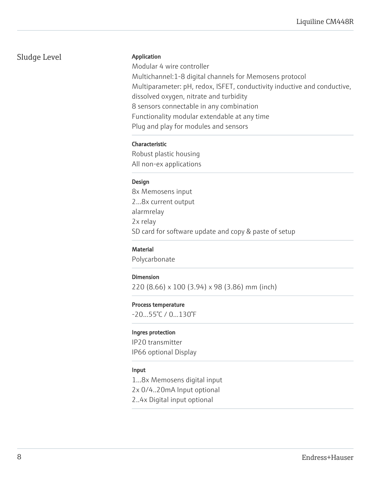# Sludge Level

# Application

Modular 4 wire controller Multichannel:1-8 digital channels for Memosens protocol Multiparameter: pH, redox, ISFET, conductivity inductive and conductive, dissolved oxygen, nitrate and turbidity 8 sensors connectable in any combination Functionality modular extendable at any time Plug and play for modules and sensors

# Characteristic

Robust plastic housing All non-ex applications

# Design

8x Memosens input 2...8x current output alarmrelay 2x relay SD card for software update and copy & paste of setup

# **Material**

Polycarbonate

# Dimension

220 (8.66) x 100 (3.94) x 98 (3.86) mm (inch)

#### Process temperature

-20...55°C / 0...130°F

#### Ingres protection

IP20 transmitter IP66 optional Display

#### Input

1...8x Memosens digital input 2x 0/4..20mA Input optional 2..4x Digital input optional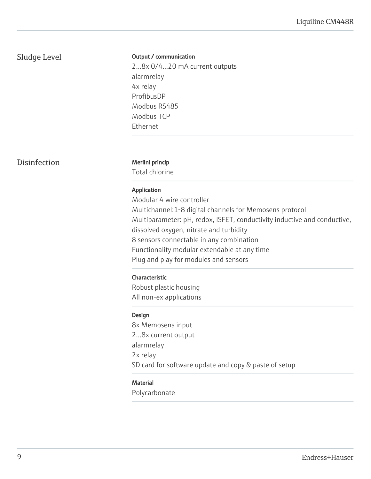# Sludge Level

# Output / communication

2...8x 0/4...20 mA current outputs alarmrelay 4x relay ProfibusDP Modbus RS485 Modbus TCP Ethernet

Disinfection Merilni princip

Total chlorine

#### Application

Modular 4 wire controller Multichannel:1-8 digital channels for Memosens protocol Multiparameter: pH, redox, ISFET, conductivity inductive and conductive, dissolved oxygen, nitrate and turbidity 8 sensors connectable in any combination Functionality modular extendable at any time Plug and play for modules and sensors

#### Characteristic

Robust plastic housing All non-ex applications

#### Design

8x Memosens input 2...8x current output alarmrelay 2x relay SD card for software update and copy & paste of setup

# **Material**

Polycarbonate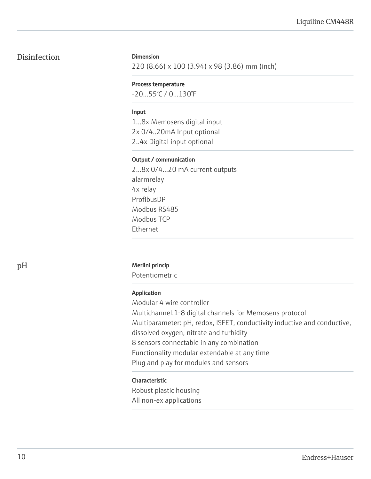# Disinfection

# Dimension

220 (8.66) x 100 (3.94) x 98 (3.86) mm (inch)

## Process temperature

-20...55°C / 0...130°F

## Input

1...8x Memosens digital input 2x 0/4..20mA Input optional 2..4x Digital input optional

# Output / communication

2...8x 0/4...20 mA current outputs alarmrelay 4x relay ProfibusDP Modbus RS485 Modbus TCP Ethernet

# pH Merilni princip

Potentiometric

# Application

Modular 4 wire controller Multichannel:1-8 digital channels for Memosens protocol Multiparameter: pH, redox, ISFET, conductivity inductive and conductive, dissolved oxygen, nitrate and turbidity 8 sensors connectable in any combination Functionality modular extendable at any time Plug and play for modules and sensors

# Characteristic

Robust plastic housing All non-ex applications